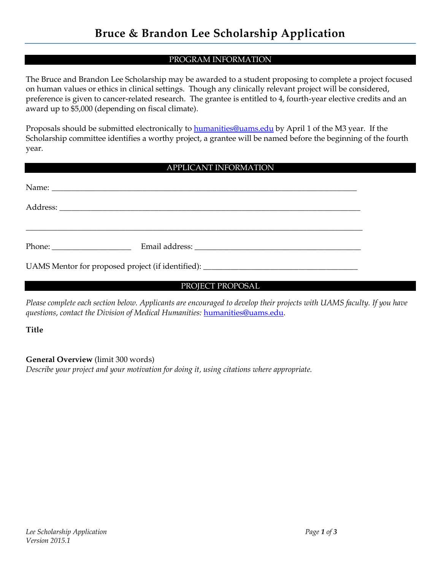## PROGRAM INFORMATION

The Bruce and Brandon Lee Scholarship may be awarded to a student proposing to complete a project focused on human values or ethics in clinical settings. Though any clinically relevant project will be considered, preference is given to cancer-related research. The grantee is entitled to 4, fourth-year elective credits and an award up to \$5,000 (depending on fiscal climate).

Proposals should be submitted electronically to [humanities@uams.edu](mailto:humanities@uams.edu) by April 1 of the M3 year. If the Scholarship committee identifies a worthy project, a grantee will be named before the beginning of the fourth year.

## APPLICANT INFORMATION

| UAMS Mentor for proposed project (if identified): ______________________________ |  |
|----------------------------------------------------------------------------------|--|

PROJECT PROPOSAL

*Please complete each section below. Applicants are encouraged to develop their projects with UAMS faculty. If you have questions, contact the Division of Medical Humanities:* [humanities@uams.edu.](mailto:humanities@uams.edu)

**Title** 

**General Overview** (limit 300 words)

*Describe your project and your motivation for doing it, using citations where appropriate.*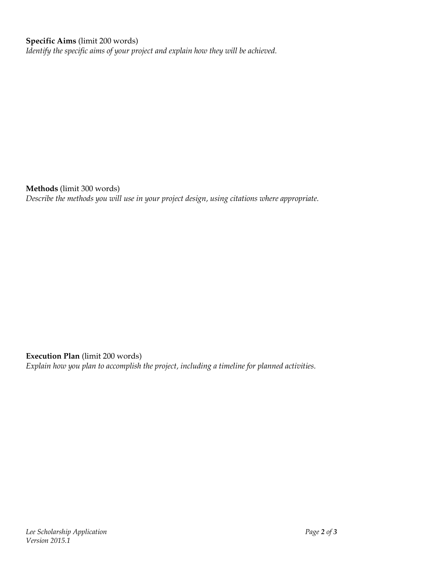## **Specific Aims** (limit 200 words)

*Identify the specific aims of your project and explain how they will be achieved.* 

**Methods** (limit 300 words)

*Describe the methods you will use in your project design, using citations where appropriate.* 

**Execution Plan** (limit 200 words)

*Explain how you plan to accomplish the project, including a timeline for planned activities.*